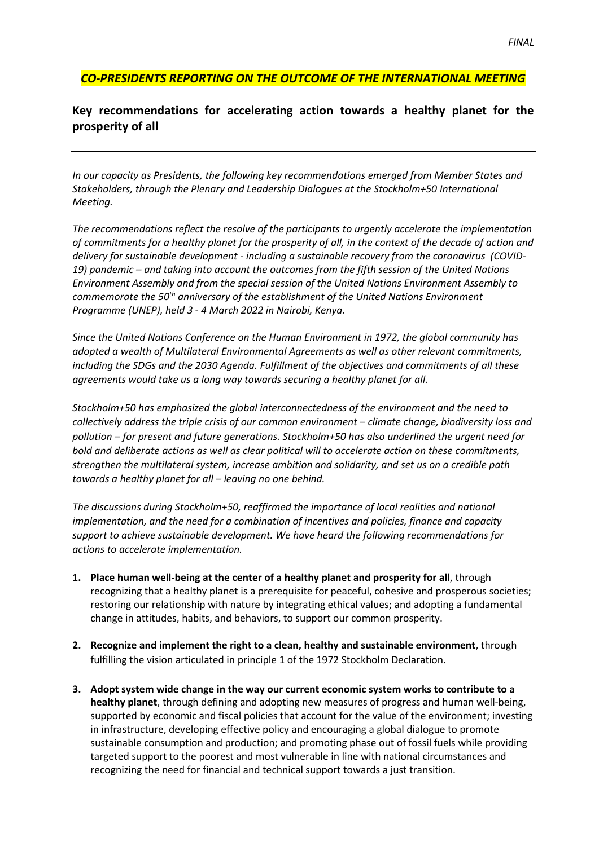## *CO-PRESIDENTS REPORTING ON THE OUTCOME OF THE INTERNATIONAL MEETING*

## **Key recommendations for accelerating action towards a healthy planet for the prosperity of all**

*In our capacity as Presidents, the following key recommendations emerged from Member States and Stakeholders, through the Plenary and Leadership Dialogues at the Stockholm+50 International Meeting.* 

*The recommendations reflect the resolve of the participants to urgently accelerate the implementation of commitments for a healthy planet for the prosperity of all, in the context of the decade of action and delivery for sustainable development - including a sustainable recovery from the coronavirus (COVID-19) pandemic – and taking into account the outcomes from the fifth session of the United Nations Environment Assembly and from the special session of the United Nations Environment Assembly to commemorate the 50th anniversary of the establishment of the United Nations Environment Programme (UNEP), held 3 - 4 March 2022 in Nairobi, Kenya.*

*Since the United Nations Conference on the Human Environment in 1972, the global community has adopted a wealth of Multilateral Environmental Agreements as well as other relevant commitments, including the SDGs and the 2030 Agenda. Fulfillment of the objectives and commitments of all these agreements would take us a long way towards securing a healthy planet for all.* 

*Stockholm+50 has emphasized the global interconnectedness of the environment and the need to collectively address the triple crisis of our common environment – climate change, biodiversity loss and pollution – for present and future generations. Stockholm+50 has also underlined the urgent need for bold and deliberate actions as well as clear political will to accelerate action on these commitments, strengthen the multilateral system, increase ambition and solidarity, and set us on a credible path towards a healthy planet for all – leaving no one behind.* 

*The discussions during Stockholm+50, reaffirmed the importance of local realities and national implementation, and the need for a combination of incentives and policies, finance and capacity support to achieve sustainable development. We have heard the following recommendations for actions to accelerate implementation.* 

- **1. Place human well-being at the center of a healthy planet and prosperity for all**, through recognizing that a healthy planet is a prerequisite for peaceful, cohesive and prosperous societies; restoring our relationship with nature by integrating ethical values; and adopting a fundamental change in attitudes, habits, and behaviors, to support our common prosperity.
- **2. Recognize and implement the right to a clean, healthy and sustainable environment**, through fulfilling the vision articulated in principle 1 of the 1972 Stockholm Declaration.
- **3. Adopt system wide change in the way our current economic system works to contribute to a healthy planet**, through defining and adopting new measures of progress and human well-being, supported by economic and fiscal policies that account for the value of the environment; investing in infrastructure, developing effective policy and encouraging a global dialogue to promote sustainable consumption and production; and promoting phase out of fossil fuels while providing targeted support to the poorest and most vulnerable in line with national circumstances and recognizing the need for financial and technical support towards a just transition.